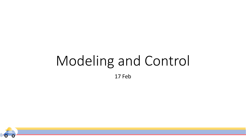# Modeling and Control

17 Feb

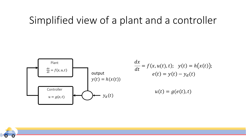#### Simplified view of a plant and a controller



$$
\frac{dx}{dt} = f(x, u(t), t); \quad y(t) = h(x(t));
$$

$$
e(t) = y(t) - y_d(t)
$$

$$
u(t) = g(e(t), t)
$$

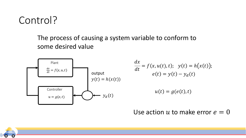

#### The process of causing a system variable to conform to some desired value



$$
\frac{dx}{dt} = f(x, u(t), t); \quad y(t) = h(x(t));
$$

$$
e(t) = y(t) - y_d(t)
$$

$$
u(t) = g(e(t), t)
$$

#### Use action u to make error  $e = 0$

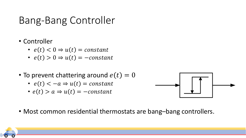# Bang-Bang Controller

- Controller
	- $e(t) < 0 \Rightarrow u(t) = constant$
	- $e(t) > 0 \Rightarrow u(t) = -constant$
- To prevent chattering around  $e(t) = 0$ 
	- $e(t) < -a \Rightarrow u(t) = constant$
	- $e(t) > a \Rightarrow u(t) = -constant$



• Most common residential thermostats are bang–bang controllers.

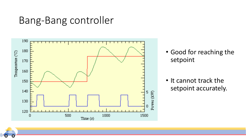#### Bang-Bang controller



- Good for reaching the setpoint
- It cannot track the setpoint accurately.

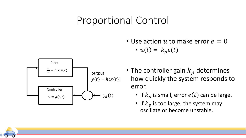#### Proportional Control

• Use action  $u$  to make error  $e = 0$ 





- The controller gain  $k_p$  determines how quickly the system responds to error.
	- If  $k_p$  is small, error  $e(t)$  can be large.
	- If  $k_p$  is too large, the system may oscillate or become unstable.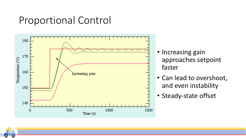#### Proportional Control



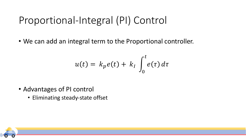# Proportional-Integral (PI) Control

• We can add an integral term to the Proportional controller.

$$
u(t) = k_p e(t) + k_I \int_0^t e(\tau) d\tau
$$

- Advantages of PI control
	- Eliminating steady-state offset

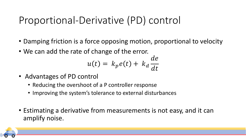# Proportional-Derivative (PD) control

- Damping friction is a force opposing motion, proportional to velocity
- We can add the rate of change of the error.

$$
u(t) = k_p e(t) + k_d \frac{de}{dt}
$$

- Advantages of PD control
	- Reducing the overshoot of a P controller response
	- Improving the system's tolerance to external disturbances
- Estimating a derivative from measurements is not easy, and it can amplify noise.

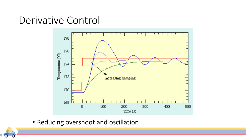#### Derivative Control



• Reducing overshoot and oscillation

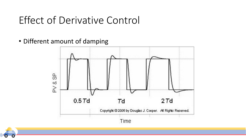## Effect of Derivative Control

• Different amount of damping



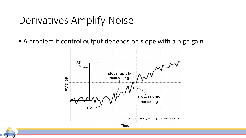### Derivatives Amplify Noise

• A problem if control output depends on slope with a high gain



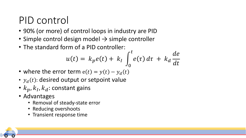# PID control

- 90% (or more) of control loops in industry are PID
- Simple control design model → simple controller
- The standard form of a PID controller:

$$
u(t) = k_p e(t) + k_I \int_0^t e(\tau) d\tau + k_d \frac{de}{dt}
$$

- where the error term  $e(t) = y(t) y_d(t)$
- $y_d(t)$ : desired output or setpoint value
- $k_p, k_l, k_d$ : constant gains
- Advantages
	- Removal of steady-state error
	- Reducing overshoots
	- Transient response time

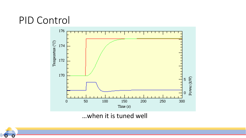#### PID Control



…when it is tuned well

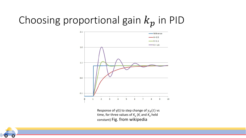# Choosing proportional gain  $k_p$  in PID



Response of y(t) to step change of  $y_d(t)$  vs time, for three values of  $K_p$  ( $K_i$  and  $K_d$  held constant) Fig. from wikipedia